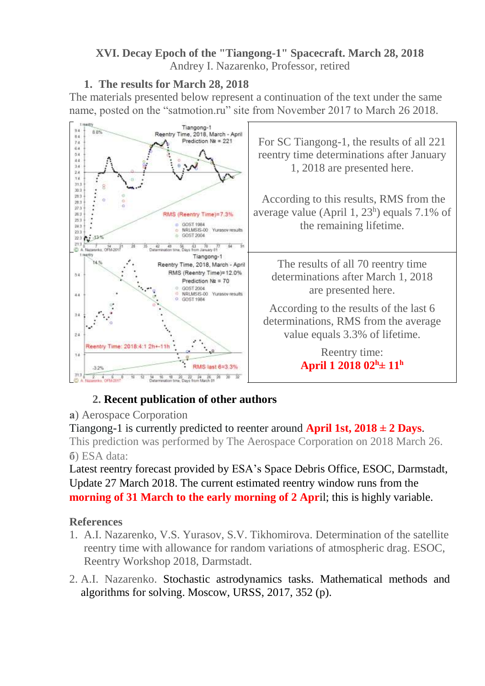#### **XVI. Decay Epoch of the "Tiangong-1" Spacecraft. March 28, 2018** Andrey I. Nazarenko, Professor, retired

## **1. The results for March 28, 2018**

The materials presented below represent a continuation of the text under the same name, posted on the "satmotion.ru" site from November 2017 to March 26 2018.



## **2. Recent publication of other authors**

## **а**) Aerospace Corporation

Tiangong-1 is currently predicted to reenter around **April 1st,**  $2018 \pm 2$  **Days.** This prediction was performed by The Aerospace Corporation on 2018 March 26. **б**) ESA data:

Latest reentry forecast provided by ESA's Space Debris [Office,](http://www.esa.int/debris) [ESOC,](http://www.esa.int/debris) Darmstadt, Update 27 March 2018. The current estimated reentry window runs from the **morning of 31 March to the early morning of 2 April:** this is highly variable.

## **References**

- 1. A.I. Nazarenko, V.S. Yurasov, S.V. Tikhomirova. Determination of the satellite reentry time with allowance for random variations of atmospheric drag. ESOC, Reentry Workshop 2018, Darmstadt.
- 2. A.I. Nazarenko. Stochastic astrodynamics tasks. Mathematical methods and algorithms for solving. Moscow, URSS, 2017, 352 (p).